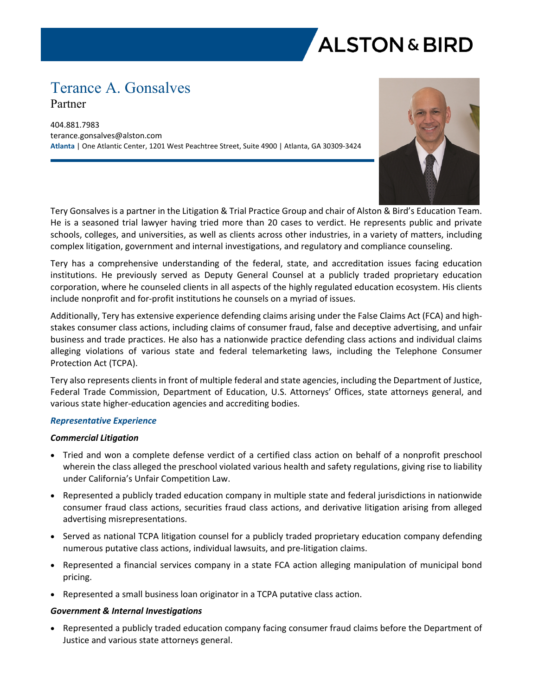

# Terance A. Gonsalves Partner

404.881.7983 terance.gonsalves@alston.com **Atlanta** | One Atlantic Center, 1201 West Peachtree Street, Suite 4900 | Atlanta, GA 30309-3424



Tery Gonsalves is a partner in the Litigation & Trial Practice Group and chair of Alston & Bird's Education Team. He is a seasoned trial lawyer having tried more than 20 cases to verdict. He represents public and private schools, colleges, and universities, as well as clients across other industries, in a variety of matters, including complex litigation, government and internal investigations, and regulatory and compliance counseling.

Tery has a comprehensive understanding of the federal, state, and accreditation issues facing education institutions. He previously served as Deputy General Counsel at a publicly traded proprietary education corporation, where he counseled clients in all aspects of the highly regulated education ecosystem. His clients include nonprofit and for-profit institutions he counsels on a myriad of issues.

Additionally, Tery has extensive experience defending claims arising under the False Claims Act (FCA) and highstakes consumer class actions, including claims of consumer fraud, false and deceptive advertising, and unfair business and trade practices. He also has a nationwide practice defending class actions and individual claims alleging violations of various state and federal telemarketing laws, including the Telephone Consumer Protection Act (TCPA).

Tery also represents clients in front of multiple federal and state agencies, including the Department of Justice, Federal Trade Commission, Department of Education, U.S. Attorneys' Offices, state attorneys general, and various state higher-education agencies and accrediting bodies.

# *Representative Experience*

# *Commercial Litigation*

- Tried and won a complete defense verdict of a certified class action on behalf of a nonprofit preschool wherein the class alleged the preschool violated various health and safety regulations, giving rise to liability under California's Unfair Competition Law.
- Represented a publicly traded education company in multiple state and federal jurisdictions in nationwide consumer fraud class actions, securities fraud class actions, and derivative litigation arising from alleged advertising misrepresentations.
- Served as national TCPA litigation counsel for a publicly traded proprietary education company defending numerous putative class actions, individual lawsuits, and pre-litigation claims.
- Represented a financial services company in a state FCA action alleging manipulation of municipal bond pricing.
- Represented a small business loan originator in a TCPA putative class action.

## *Government & Internal Investigations*

• Represented a publicly traded education company facing consumer fraud claims before the Department of Justice and various state attorneys general.